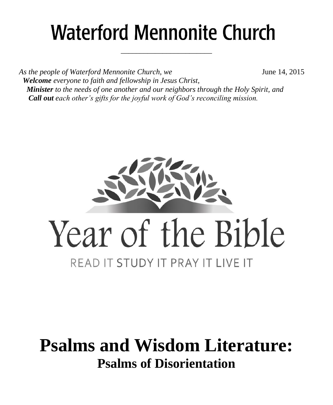# **Waterford Mennonite Church**

\_\_\_\_\_\_\_\_\_\_\_\_\_\_\_\_\_\_\_\_\_\_\_\_

*As the people of Waterford Mennonite Church, we* **June 14, 2015**  *Welcome everyone to faith and fellowship in Jesus Christ, Minister to the needs of one another and our neighbors through the Holy Spirit, and Call out each other's gifts for the joyful work of God's reconciling mission.*



## **Psalms and Wisdom Literature: Psalms of Disorientation**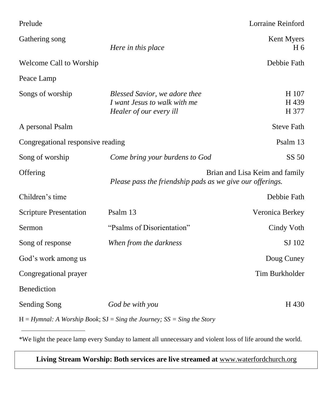| Prelude                           |                                                                                          | Lorraine Reinford              |
|-----------------------------------|------------------------------------------------------------------------------------------|--------------------------------|
| Gathering song                    | Here in this place                                                                       | Kent Myers<br>H 6              |
| Welcome Call to Worship           |                                                                                          | Debbie Fath                    |
| Peace Lamp                        |                                                                                          |                                |
| Songs of worship                  | Blessed Savior, we adore thee<br>I want Jesus to walk with me<br>Healer of our every ill | H 107<br>H 439<br>H 377        |
| A personal Psalm                  |                                                                                          | <b>Steve Fath</b>              |
| Congregational responsive reading |                                                                                          | Psalm 13                       |
| Song of worship                   | Come bring your burdens to God                                                           | SS 50                          |
| Offering                          | Please pass the friendship pads as we give our offerings.                                | Brian and Lisa Keim and family |
| Children's time                   |                                                                                          | Debbie Fath                    |
| <b>Scripture Presentation</b>     | Psalm 13                                                                                 | Veronica Berkey                |
| Sermon                            | "Psalms of Disorientation"                                                               | Cindy Voth                     |
| Song of response                  | When from the darkness                                                                   | SJ 102                         |
| God's work among us               |                                                                                          | Doug Cuney                     |
| Congregational prayer             |                                                                                          | Tim Burkholder                 |
| Benediction                       |                                                                                          |                                |
| Sending Song                      | God be with you                                                                          | H 430                          |
|                                   | $H = Hymnal$ : A Worship Book; $SI = Sing$ the Journey; $SS = Sing$ the Story            |                                |

\*We light the peace lamp every Sunday to lament all unnecessary and violent loss of life around the world.

**Living Stream Worship: Both services are live streamed at** [www.waterfordchurch.org](http://www.waterfordchurch.org/)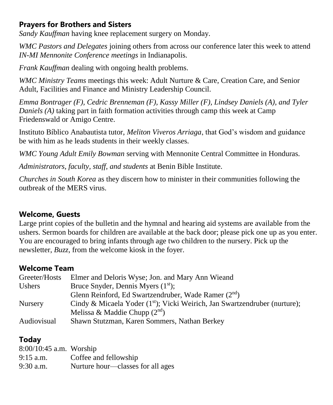#### **Prayers for Brothers and Sisters**

*Sandy Kauffman* having knee replacement surgery on Monday.

*WMC Pastors and Delegates* joining others from across our conference later this week to attend *IN-MI Mennonite Conference meetings* in Indianapolis.

*Frank Kauffman* dealing with ongoing health problems.

*WMC Ministry Teams* meetings this week: Adult Nurture & Care, Creation Care, and Senior Adult, Facilities and Finance and Ministry Leadership Council.

*Emma Bontrager (F), Cedric Brenneman (F), Kassy Miller (F), Lindsey Daniels (A), and Tyler Daniels (A)* taking part in faith formation activities through camp this week at Camp Friedenswald or Amigo Centre.

Instituto Bíblico Anabautista tutor, *Meliton Viveros Arriaga*, that God's wisdom and guidance be with him as he leads students in their weekly classes.

*WMC Young Adult Emily Bowman* serving with Mennonite Central Committee in Honduras.

*Administrators, faculty, staff, and students* at Benin Bible Institute.

*Churches in South Korea* as they discern how to minister in their communities following the outbreak of the MERS virus.

#### **Welcome, Guests**

Large print copies of the bulletin and the hymnal and hearing aid systems are available from the ushers. Sermon boards for children are available at the back door; please pick one up as you enter. You are encouraged to bring infants through age two children to the nursery. Pick up the newsletter, *Buzz,* from the welcome kiosk in the foyer.

#### **Welcome Team**

| Greeter/Hosts  | Elmer and Deloris Wyse; Jon. and Mary Ann Wieand                             |
|----------------|------------------------------------------------------------------------------|
| Ushers         | Bruce Snyder, Dennis Myers $(1st)$ ;                                         |
|                | Glenn Reinford, Ed Swartzendruber, Wade Ramer $(2^{nd})$                     |
| <b>Nursery</b> | Cindy & Micaela Yoder $(1st)$ ; Vicki Weirich, Jan Swartzendruber (nurture); |
|                | Melissa & Maddie Chupp $(2^{nd})$                                            |
| Audiovisual    | Shawn Stutzman, Karen Sommers, Nathan Berkey                                 |

### **Today**

| $8:00/10:45$ a.m. Worship |                                   |
|---------------------------|-----------------------------------|
| $9:15$ a.m.               | Coffee and fellowship             |
| $9:30$ a.m.               | Nurture hour—classes for all ages |